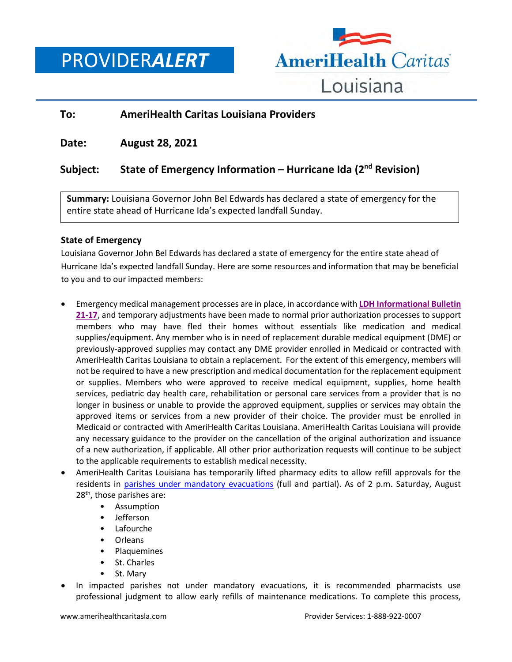PROVIDER*ALERT*



## **To: AmeriHealth Caritas Louisiana Providers**

**Date: August 28, 2021**

# **Subject: State of Emergency Information – Hurricane Ida (2nd Revision)**

**Summary:** Louisiana Governor John Bel Edwards has declared a state of emergency for the entire state ahead of Hurricane Ida's expected landfall Sunday.

### **State of Emergency**

Louisiana Governor John Bel Edwards has declared a state of emergency for the entire state ahead of Hurricane Ida's expected landfall Sunday. Here are some resources and information that may be beneficial to you and to our impacted members:

- Emergency medical management processes are in place, in accordance with **[LDH Informational](https://ldh.la.gov/index.cfm/page/4254) Bulleti[n](https://ldh.la.gov/index.cfm/page/4254) [21-17](https://ldh.la.gov/index.cfm/page/4254)**, and temporary adjustments have been made to normal prior authorization processes to support members who may have fled their homes without essentials like medication and medical supplies/equipment. Any member who is in need of replacement durable medical equipment (DME) or previously-approved supplies may contact any DME provider enrolled in Medicaid or contracted with AmeriHealth Caritas Louisiana to obtain a replacement. For the extent of this emergency, members will not be required to have a new prescription and medical documentation for the replacement equipment or supplies. Members who were approved to receive medical equipment, supplies, home health services, pediatric day health care, rehabilitation or personal care services from a provider that is no longer in business or unable to provide the approved equipment, supplies or services may obtain the approved items or services from a new provider of their choice. The provider must be enrolled in Medicaid or contracted with AmeriHealth Caritas Louisiana. AmeriHealth Caritas Louisiana will provide any necessary guidance to the provider on the cancellation of the original authorization and issuance of a new authorization, if applicable. All other prior authorization requests will continue to be subject to the applicable requirements to establish medical necessity.
- AmeriHealth Caritas Louisiana has temporarily lifted pharmacy edits to allow refill approvals for the residents in parishes [under mandatory evacuations](https://weather.com/storms/hurricane/news/2021-08-27-hurricane-ida-evacuation-orders-in-louisiana-new-orleans) (full and partial). As of 2 p.m. Saturday, August 28<sup>th</sup>, those parishes are:
	- Assumption
	- Jefferson
	- Lafourche
	- Orleans
	- Plaquemines
	- St. Charles
	- St. Mary
- In impacted parishes not under mandatory evacuations, it is recommended pharmacists use professional judgment to allow early refills of maintenance medications. To complete this process,